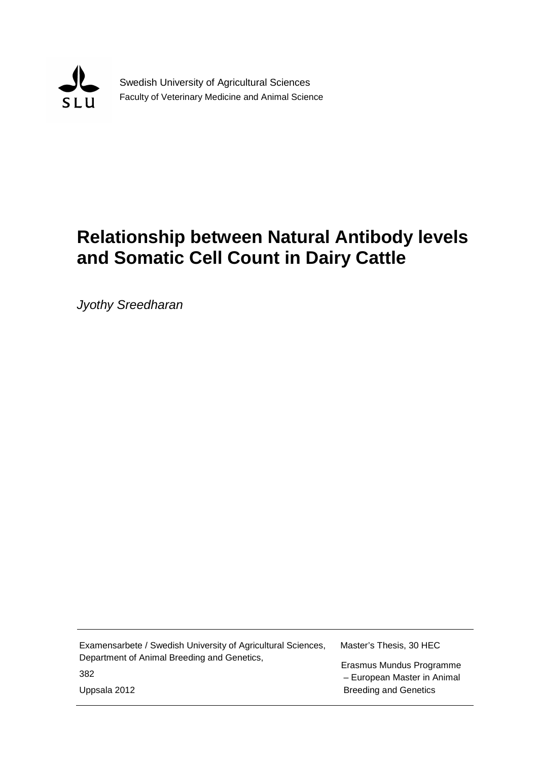

Swedish University of Agricultural Sciences Faculty of Veterinary Medicine and Animal Science

# **Relationship between Natural Antibody levels and Somatic Cell Count in Dairy Cattle**

*Jyothy Sreedharan*

| Examensarbete / Swedish University of Agricultural Sciences, | Master's Thesis, 30 HEC      |
|--------------------------------------------------------------|------------------------------|
| Department of Animal Breeding and Genetics,                  | Erasmus Mundus Programme     |
| 382                                                          | - European Master in Animal  |
| Uppsala 2012                                                 | <b>Breeding and Genetics</b> |
|                                                              |                              |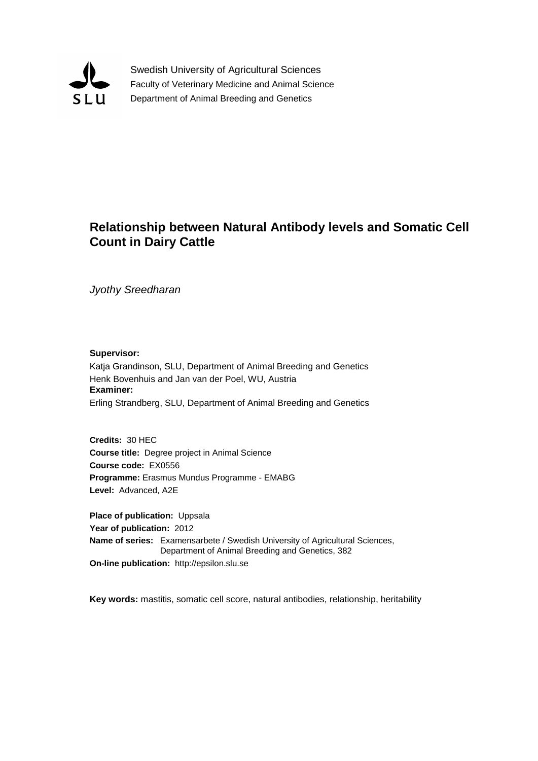

Swedish University of Agricultural Sciences Faculty of Veterinary Medicine and Animal Science Department of Animal Breeding and Genetics

# **Relationship between Natural Antibody levels and Somatic Cell Count in Dairy Cattle**

*Jyothy Sreedharan*

**Supervisor:**

Katja Grandinson, SLU, Department of Animal Breeding and Genetics Henk Bovenhuis and Jan van der Poel, WU, Austria **Examiner:** Erling Strandberg, SLU, Department of Animal Breeding and Genetics

**Credits:** 30 HEC **Course title:** Degree project in Animal Science **Course code:** EX0556 **Programme:** Erasmus Mundus Programme - EMABG **Level:** Advanced, A2E

**Place of publication:** Uppsala **Year of publication:** 2012 **Name of series:** Examensarbete / Swedish University of Agricultural Sciences, Department of Animal Breeding and Genetics, 382 **On-line publication:** http://epsilon.slu.se

**Key words:** mastitis, somatic cell score, natural antibodies, relationship, heritability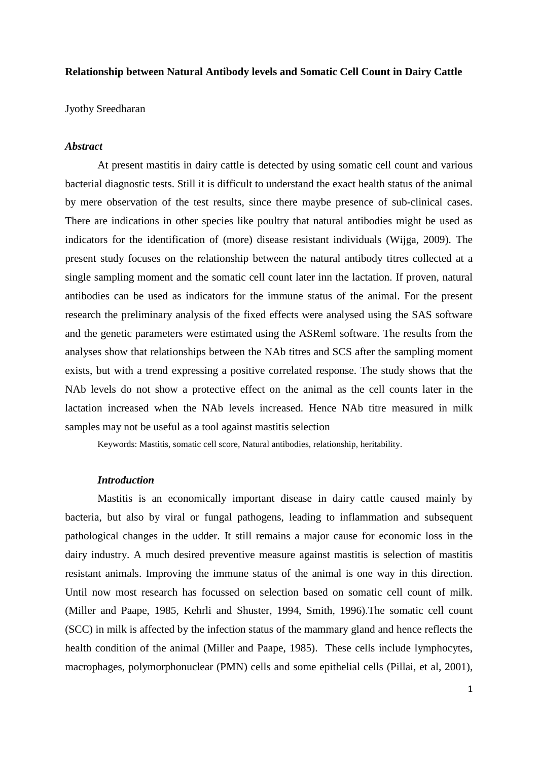# **Relationship between Natural Antibody levels and Somatic Cell Count in Dairy Cattle**

Jyothy Sreedharan

# *Abstract*

At present mastitis in dairy cattle is detected by using somatic cell count and various bacterial diagnostic tests. Still it is difficult to understand the exact health status of the animal by mere observation of the test results, since there maybe presence of sub-clinical cases. There are indications in other species like poultry that natural antibodies might be used as indicators for the identification of (more) disease resistant individuals (Wijga, 2009). The present study focuses on the relationship between the natural antibody titres collected at a single sampling moment and the somatic cell count later inn the lactation. If proven, natural antibodies can be used as indicators for the immune status of the animal. For the present research the preliminary analysis of the fixed effects were analysed using the SAS software and the genetic parameters were estimated using the ASReml software. The results from the analyses show that relationships between the NAb titres and SCS after the sampling moment exists, but with a trend expressing a positive correlated response. The study shows that the NAb levels do not show a protective effect on the animal as the cell counts later in the lactation increased when the NAb levels increased. Hence NAb titre measured in milk samples may not be useful as a tool against mastitis selection

Keywords: Mastitis, somatic cell score, Natural antibodies, relationship, heritability.

# *Introduction*

Mastitis is an economically important disease in dairy cattle caused mainly by bacteria, but also by viral or fungal pathogens, leading to inflammation and subsequent pathological changes in the udder. It still remains a major cause for economic loss in the dairy industry. A much desired preventive measure against mastitis is selection of mastitis resistant animals. Improving the immune status of the animal is one way in this direction. Until now most research has focussed on selection based on somatic cell count of milk. (Miller and Paape, 1985, Kehrli and Shuster, 1994, Smith, 1996).The somatic cell count (SCC) in milk is affected by the infection status of the mammary gland and hence reflects the health condition of the animal (Miller and Paape, 1985). These cells include lymphocytes, macrophages, polymorphonuclear (PMN) cells and some epithelial cells (Pillai, et al, 2001),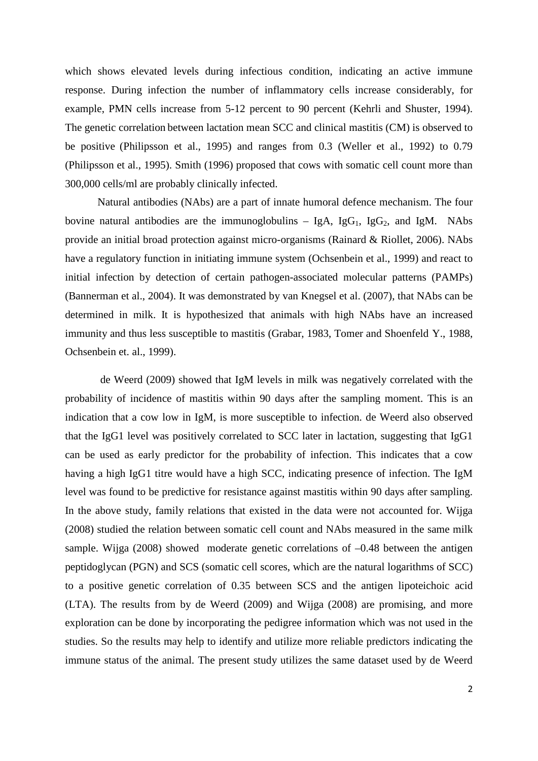which shows elevated levels during infectious condition, indicating an active immune response. During infection the number of inflammatory cells increase considerably, for example, PMN cells increase from 5-12 percent to 90 percent (Kehrli and Shuster, 1994). The genetic correlation between lactation mean SCC and clinical mastitis (CM) is observed to be positive (Philipsson et al., 1995) and ranges from 0.3 (Weller et al., 1992) to 0.79 (Philipsson et al., 1995). Smith (1996) proposed that cows with somatic cell count more than 300,000 cells/ml are probably clinically infected.

Natural antibodies (NAbs) are a part of innate humoral defence mechanism. The four bovine natural antibodies are the immunoglobulins  $-$  IgA, IgG<sub>1</sub>, IgG<sub>2</sub>, and IgM. NAbs provide an initial broad protection against micro-organisms (Rainard & Riollet, 2006). NAbs have a regulatory function in initiating immune system (Ochsenbein et al., 1999) and react to initial infection by detection of certain pathogen-associated molecular patterns (PAMPs) (Bannerman et al., 2004). It was demonstrated by van Knegsel et al. (2007), that NAbs can be determined in milk. It is hypothesized that animals with high NAbs have an increased immunity and thus less susceptible to mastitis (Grabar, 1983, Tomer and Shoenfeld Y., 1988, Ochsenbein et. al., 1999).

de Weerd (2009) showed that IgM levels in milk was negatively correlated with the probability of incidence of mastitis within 90 days after the sampling moment. This is an indication that a cow low in IgM, is more susceptible to infection. de Weerd also observed that the IgG1 level was positively correlated to SCC later in lactation, suggesting that IgG1 can be used as early predictor for the probability of infection. This indicates that a cow having a high IgG1 titre would have a high SCC, indicating presence of infection. The IgM level was found to be predictive for resistance against mastitis within 90 days after sampling. In the above study, family relations that existed in the data were not accounted for. Wijga (2008) studied the relation between somatic cell count and NAbs measured in the same milk sample. Wijga (2008) showed moderate genetic correlations of –0.48 between the antigen peptidoglycan (PGN) and SCS (somatic cell scores, which are the natural logarithms of SCC) to a positive genetic correlation of 0.35 between SCS and the antigen lipoteichoic acid (LTA). The results from by de Weerd (2009) and Wijga (2008) are promising, and more exploration can be done by incorporating the pedigree information which was not used in the studies. So the results may help to identify and utilize more reliable predictors indicating the immune status of the animal. The present study utilizes the same dataset used by de Weerd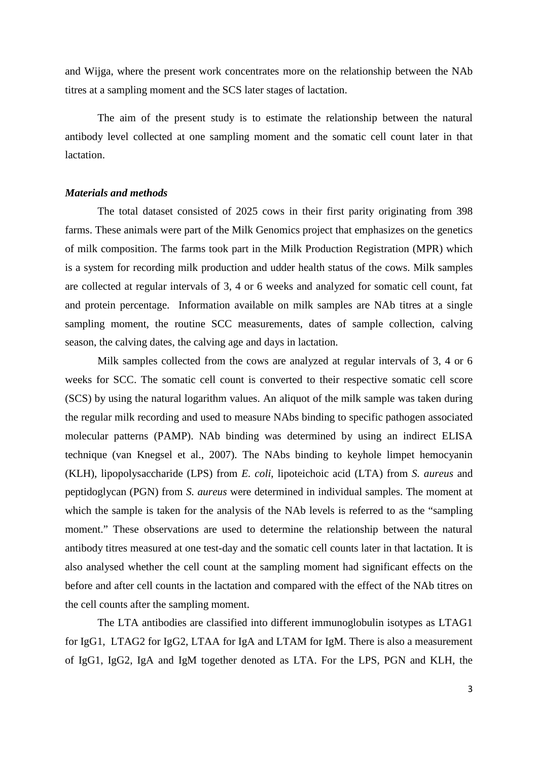and Wijga, where the present work concentrates more on the relationship between the NAb titres at a sampling moment and the SCS later stages of lactation.

The aim of the present study is to estimate the relationship between the natural antibody level collected at one sampling moment and the somatic cell count later in that **lactation** 

# *Materials and methods*

The total dataset consisted of 2025 cows in their first parity originating from 398 farms. These animals were part of the Milk Genomics project that emphasizes on the genetics of milk composition. The farms took part in the Milk Production Registration (MPR) which is a system for recording milk production and udder health status of the cows. Milk samples are collected at regular intervals of 3, 4 or 6 weeks and analyzed for somatic cell count, fat and protein percentage. Information available on milk samples are NAb titres at a single sampling moment, the routine SCC measurements, dates of sample collection, calving season, the calving dates, the calving age and days in lactation.

Milk samples collected from the cows are analyzed at regular intervals of 3, 4 or 6 weeks for SCC. The somatic cell count is converted to their respective somatic cell score (SCS) by using the natural logarithm values. An aliquot of the milk sample was taken during the regular milk recording and used to measure NAbs binding to specific pathogen associated molecular patterns (PAMP). NAb binding was determined by using an indirect ELISA technique (van Knegsel et al., 2007). The NAbs binding to keyhole limpet hemocyanin (KLH), lipopolysaccharide (LPS) from *E. coli*, lipoteichoic acid (LTA) from *S. aureus* and peptidoglycan (PGN) from *S. aureus* were determined in individual samples. The moment at which the sample is taken for the analysis of the NAb levels is referred to as the "sampling moment." These observations are used to determine the relationship between the natural antibody titres measured at one test-day and the somatic cell counts later in that lactation. It is also analysed whether the cell count at the sampling moment had significant effects on the before and after cell counts in the lactation and compared with the effect of the NAb titres on the cell counts after the sampling moment.

The LTA antibodies are classified into different immunoglobulin isotypes as LTAG1 for IgG1, LTAG2 for IgG2, LTAA for IgA and LTAM for IgM. There is also a measurement of IgG1, IgG2, IgA and IgM together denoted as LTA. For the LPS, PGN and KLH, the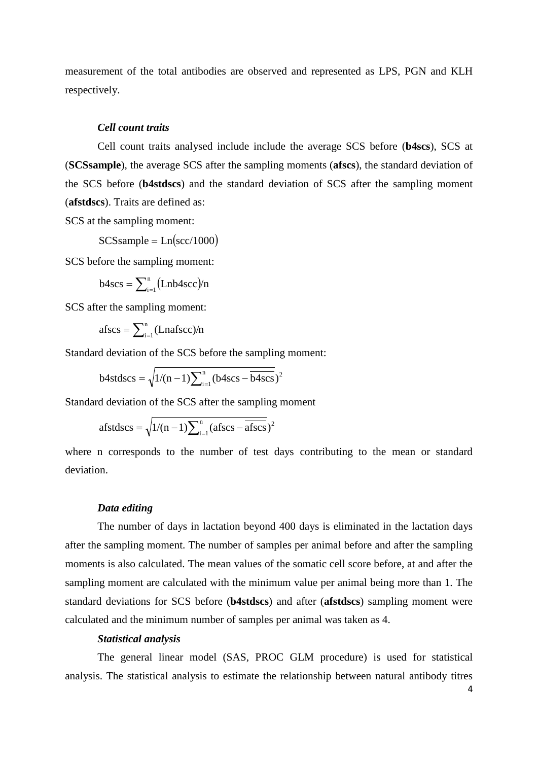measurement of the total antibodies are observed and represented as LPS, PGN and KLH respectively.

# *Cell count traits*

Cell count traits analysed include include the average SCS before (**b4scs**), SCS at (**SCSsample**), the average SCS after the sampling moments (**afscs**), the standard deviation of the SCS before (**b4stdscs**) and the standard deviation of SCS after the sampling moment (**afstdscs**). Traits are defined as:

SCS at the sampling moment:

 $SCSsample = Ln(scc/1000)$ 

SCS before the sampling moment:

 $b4scs = \sum_{i=1}^{n} (Lnb4scc)/n$ 

SCS after the sampling moment:

 $afscs = \sum_{i=1}^{n} (Lnafscc)/n$ 

Standard deviation of the SCS before the sampling moment:

b4stdesc = 
$$
\sqrt{1/(n-1)\sum_{i=1}^{n} (b4scs - \overline{b4scs})^2}
$$

Standard deviation of the SCS after the sampling moment

$$
a f s t d s c s = \sqrt{1/(n-1)\sum_{i=1}^{n} (a f s c s - \overline{a f s c s}})^{2}
$$

where n corresponds to the number of test days contributing to the mean or standard deviation.

# *Data editing*

The number of days in lactation beyond 400 days is eliminated in the lactation days after the sampling moment. The number of samples per animal before and after the sampling moments is also calculated. The mean values of the somatic cell score before, at and after the sampling moment are calculated with the minimum value per animal being more than 1. The standard deviations for SCS before (**b4stdscs**) and after (**afstdscs**) sampling moment were calculated and the minimum number of samples per animal was taken as 4.

# *Statistical analysis*

The general linear model (SAS, PROC GLM procedure) is used for statistical analysis. The statistical analysis to estimate the relationship between natural antibody titres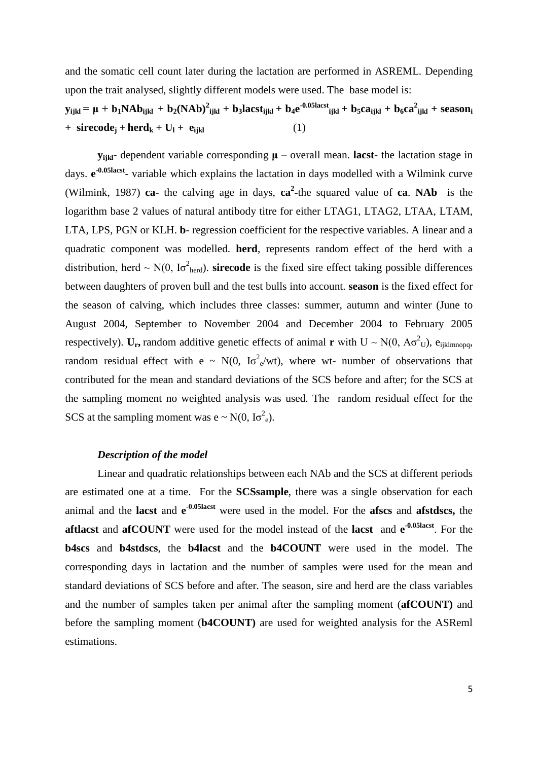and the somatic cell count later during the lactation are performed in ASREML. Depending upon the trait analysed, slightly different models were used. The base model is:

 $\mathbf{y}_{ijkl} = \mathbf{\mu} + \mathbf{b_1} \mathbf{N} \mathbf{A} \mathbf{b}_{ijkl} + \mathbf{b_2} (\mathbf{N} \mathbf{A} \mathbf{b})^2_{ijkl} + \mathbf{b_3} \mathbf{l} \mathbf{a} \mathbf{c} \mathbf{st}_{ijkl} + \mathbf{b_4} \mathbf{e}^{-0.05 \text{lacst}}_{ijkl} + \mathbf{b_5} \mathbf{c} \mathbf{a}_{ijkl} + \mathbf{b_6} \mathbf{c} \mathbf{a}^2_{ijkl} + \mathbf{season}_{ijkl}$  $+$  **sirecode**<sub>i</sub>  $+$  **herd**<sub>k</sub>  $+$  **U**<sub>1</sub>  $+$  **e**<sub>ijkl</sub> (1)

**y**<sub>iikl</sub>- dependent variable corresponding  $\mu$  – overall mean. **lacst**- the lactation stage in days. **e -0.05lacst**- variable which explains the lactation in days modelled with a Wilmink curve (Wilmink, 1987) **ca**- the calving age in days,  $ca^2$ -the squared value of **ca**. **NAb** is the logarithm base 2 values of natural antibody titre for either LTAG1, LTAG2, LTAA, LTAM, LTA, LPS, PGN or KLH. **b**- regression coefficient for the respective variables. A linear and a quadratic component was modelled. **herd**, represents random effect of the herd with a distribution, herd  $\sim N(0, I\sigma_{\text{herd}}^2)$ . **sirecode** is the fixed sire effect taking possible differences between daughters of proven bull and the test bulls into account. **season** is the fixed effect for the season of calving, which includes three classes: summer, autumn and winter (June to August 2004, September to November 2004 and December 2004 to February 2005 respectively).  $U_r$ , random additive genetic effects of animal **r** with  $U \sim N(0, A\sigma^2 U)$ , e<sub>ijklmnopq,</sub> random residual effect with  $e \sim N(0, I\sigma^2 e/wt)$ , where wt- number of observations that contributed for the mean and standard deviations of the SCS before and after; for the SCS at the sampling moment no weighted analysis was used. The random residual effect for the SCS at the sampling moment was  $e \sim N(0, I\sigma^2_e)$ .

# *Description of the model*

Linear and quadratic relationships between each NAb and the SCS at different periods are estimated one at a time. For the **SCSsample**, there was a single observation for each animal and the **lacst** and **e -0.05lacst** were used in the model. For the **afscs** and **afstdscs,** the **aftlacst** and **afCOUNT** were used for the model instead of the **lacst** and  $e^{-0.05 \text{lacst}}$ . For the **b4scs** and **b4stdscs**, the **b4lacst** and the **b4COUNT** were used in the model. The corresponding days in lactation and the number of samples were used for the mean and standard deviations of SCS before and after. The season, sire and herd are the class variables and the number of samples taken per animal after the sampling moment (**afCOUNT)** and before the sampling moment (**b4COUNT)** are used for weighted analysis for the ASReml estimations.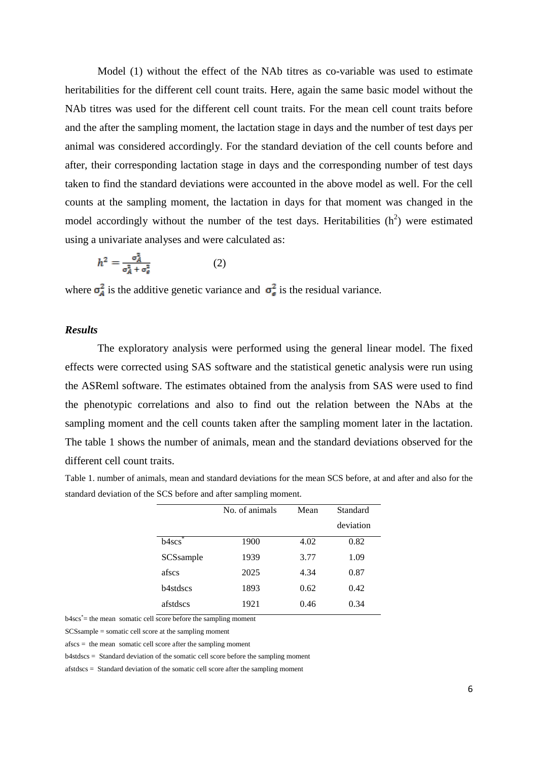Model (1) without the effect of the NAb titres as co-variable was used to estimate heritabilities for the different cell count traits. Here, again the same basic model without the NAb titres was used for the different cell count traits. For the mean cell count traits before and the after the sampling moment, the lactation stage in days and the number of test days per animal was considered accordingly. For the standard deviation of the cell counts before and after, their corresponding lactation stage in days and the corresponding number of test days taken to find the standard deviations were accounted in the above model as well. For the cell counts at the sampling moment, the lactation in days for that moment was changed in the model accordingly without the number of the test days. Heritabilities  $(h^2)$  were estimated using a univariate analyses and were calculated as:

$$
h^2 = \frac{\sigma_A^2}{\sigma_A^2 + \sigma_e^2} \tag{2}
$$

where  $\sigma_A^2$  is the additive genetic variance and  $\sigma_{\epsilon}^2$  is the residual variance.

# *Results*

The exploratory analysis were performed using the general linear model. The fixed effects were corrected using SAS software and the statistical genetic analysis were run using the ASReml software. The estimates obtained from the analysis from SAS were used to find the phenotypic correlations and also to find out the relation between the NAbs at the sampling moment and the cell counts taken after the sampling moment later in the lactation. The table 1 shows the number of animals, mean and the standard deviations observed for the different cell count traits.

Table 1. number of animals, mean and standard deviations for the mean SCS before, at and after and also for the standard deviation of the SCS before and after sampling moment.

|                  | No. of animals | Mean | Standard  |
|------------------|----------------|------|-----------|
|                  |                |      | deviation |
| b4scs            | 1900           | 4.02 | 0.82      |
| SCSsample        | 1939           | 3.77 | 1.09      |
| afscs            | 2025           | 4.34 | 0.87      |
| <b>b</b> 4stdscs | 1893           | 0.62 | 0.42      |
| afstdscs         | 1921           | 0.46 | 0.34      |

b4scs\* = the mean somatic cell score before the sampling moment

SCSsample = somatic cell score at the sampling moment

afscs = the mean somatic cell score after the sampling moment

b4stdscs = Standard deviation of the somatic cell score before the sampling moment

afstdscs = Standard deviation of the somatic cell score after the sampling moment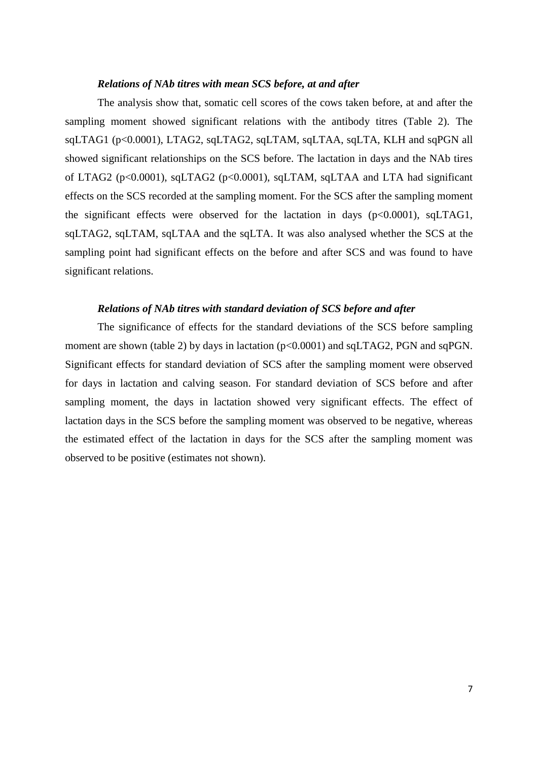## *Relations of NAb titres with mean SCS before, at and after*

The analysis show that, somatic cell scores of the cows taken before, at and after the sampling moment showed significant relations with the antibody titres (Table 2). The sqLTAG1 (p<0.0001), LTAG2, sqLTAG2, sqLTAM, sqLTAA, sqLTA, KLH and sqPGN all showed significant relationships on the SCS before. The lactation in days and the NAb tires of LTAG2 (p<0.0001), sqLTAG2 (p<0.0001), sqLTAM, sqLTAA and LTA had significant effects on the SCS recorded at the sampling moment. For the SCS after the sampling moment the significant effects were observed for the lactation in days (p<0.0001), sqLTAG1, sqLTAG2, sqLTAM, sqLTAA and the sqLTA. It was also analysed whether the SCS at the sampling point had significant effects on the before and after SCS and was found to have significant relations.

# *Relations of NAb titres with standard deviation of SCS before and after*

The significance of effects for the standard deviations of the SCS before sampling moment are shown (table 2) by days in lactation ( $p<0.0001$ ) and sqLTAG2, PGN and sqPGN. Significant effects for standard deviation of SCS after the sampling moment were observed for days in lactation and calving season. For standard deviation of SCS before and after sampling moment, the days in lactation showed very significant effects. The effect of lactation days in the SCS before the sampling moment was observed to be negative, whereas the estimated effect of the lactation in days for the SCS after the sampling moment was observed to be positive (estimates not shown).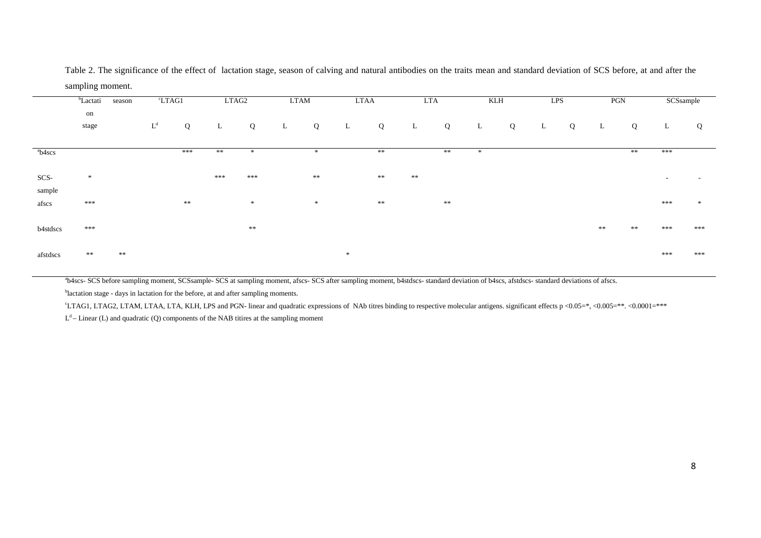|                    | <sup>b</sup> Lactati | season     |                       | °LTAG1     |     | LTAG2      | <b>LTAM</b> |       |              | <b>LTAA</b> | <b>LTA</b> |            | KLH    |   |   | LPS |    | PGN | SCSsample                |                          |
|--------------------|----------------------|------------|-----------------------|------------|-----|------------|-------------|-------|--------------|-------------|------------|------------|--------|---|---|-----|----|-----|--------------------------|--------------------------|
|                    | on<br>stage          |            | $\mathbf{L}^\text{d}$ | Q          | L   | Q          | L           | Q     | $\mathbf{L}$ | Q           | L          | Q          | L      | Q | L | Q   | L  | Q   | L                        | Q                        |
| <sup>a</sup> b4scs |                      |            |                       | ***        | **  | 宋          |             | 冰     |              | **          |            | **         | $\ast$ |   |   |     |    | **  | ***                      |                          |
| SCS-               | $\ast$               |            |                       |            | *** | ***        |             | **    |              | $\ast\ast$  | $\ast\ast$ |            |        |   |   |     |    |     | $\overline{\phantom{a}}$ | $\overline{\phantom{a}}$ |
| sample<br>afscs    | ***                  |            |                       | $\ast\ast$ |     | $\gg$      |             | $\gg$ |              | $\ast\ast$  |            | $\ast\ast$ |        |   |   |     |    |     | ***                      | $\ast$                   |
| b4stdscs           | ***                  |            |                       |            |     | $\ast\ast$ |             |       |              |             |            |            |        |   |   |     | ** | **  | ***                      | ***                      |
| afstdscs           | $**$                 | $\ast\ast$ |                       |            |     |            |             |       | ×            |             |            |            |        |   |   |     |    |     | ***                      | ***                      |

Table 2. The significance of the effect of lactation stage, season of calving and natural antibodies on the traits mean and standard deviation of SCS before, at and after the sampling moment.

<sup>a</sup>b4scs- SCS before sampling moment, SCSsample- SCS at sampling moment, afscs- SCS after sampling moment, b4stdscs- standard deviation of b4scs, afstdscs- standard deviations of afscs.

<sup>b</sup>lactation stage - days in lactation for the before, at and after sampling moments.

c LTAG1, LTAG2, LTAM, LTAA, LTA, KLH, LPS and PGN- linear and quadratic expressions of NAb titres binding to respective molecular antigens. significant effects p <0.05=\*, <0.005=\*\*. <0.0001=\*\*\*

 $L<sup>d</sup>$  – Linear (L) and quadratic (Q) components of the NAB titires at the sampling moment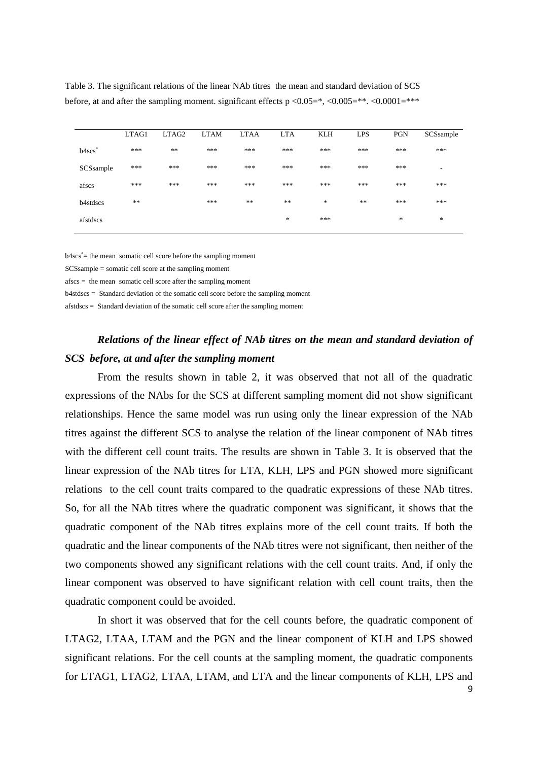|                      | LTAG1 | LTAG2      | <b>LTAM</b> | <b>LTAA</b> | <b>LTA</b> | <b>KLH</b> | <b>LPS</b> | <b>PGN</b> | SCSsample                |
|----------------------|-------|------------|-------------|-------------|------------|------------|------------|------------|--------------------------|
| $b4scs$ <sup>*</sup> | ***   | $\ast\ast$ | ***         | ***         | ***        | ***        | ***        | ***        | ***                      |
| SCSsample            | ***   | ***        | ***         | ***         | ***        | ***        | ***        | ***        | $\overline{\phantom{a}}$ |
| afscs                | ***   | ***        | ***         | ***         | ***        | ***        | ***        | ***        | ***                      |
| b4stdscs             | **    |            | ***         | $\ast\ast$  | **         | $\ast$     | $\ast\ast$ | ***        | ***                      |
| afstdscs             |       |            |             |             | $\ast$     | ***        |            | *          | $\ast$                   |
|                      |       |            |             |             |            |            |            |            |                          |

Table 3. The significant relations of the linear NAb titres the mean and standard deviation of SCS before, at and after the sampling moment. significant effects  $p < 0.05 = *, < 0.005 = ***. < 0.0001 = ****$ 

b4scs\* = the mean somatic cell score before the sampling moment

SCSsample = somatic cell score at the sampling moment

afscs = the mean somatic cell score after the sampling moment

b4stdscs = Standard deviation of the somatic cell score before the sampling moment

afstdscs = Standard deviation of the somatic cell score after the sampling moment

# *Relations of the linear effect of NAb titres on the mean and standard deviation of SCS before, at and after the sampling moment*

From the results shown in table 2, it was observed that not all of the quadratic expressions of the NAbs for the SCS at different sampling moment did not show significant relationships. Hence the same model was run using only the linear expression of the NAb titres against the different SCS to analyse the relation of the linear component of NAb titres with the different cell count traits. The results are shown in Table 3. It is observed that the linear expression of the NAb titres for LTA, KLH, LPS and PGN showed more significant relations to the cell count traits compared to the quadratic expressions of these NAb titres. So, for all the NAb titres where the quadratic component was significant, it shows that the quadratic component of the NAb titres explains more of the cell count traits. If both the quadratic and the linear components of the NAb titres were not significant, then neither of the two components showed any significant relations with the cell count traits. And, if only the linear component was observed to have significant relation with cell count traits, then the quadratic component could be avoided.

In short it was observed that for the cell counts before, the quadratic component of LTAG2, LTAA, LTAM and the PGN and the linear component of KLH and LPS showed significant relations. For the cell counts at the sampling moment, the quadratic components for LTAG1, LTAG2, LTAA, LTAM, and LTA and the linear components of KLH, LPS and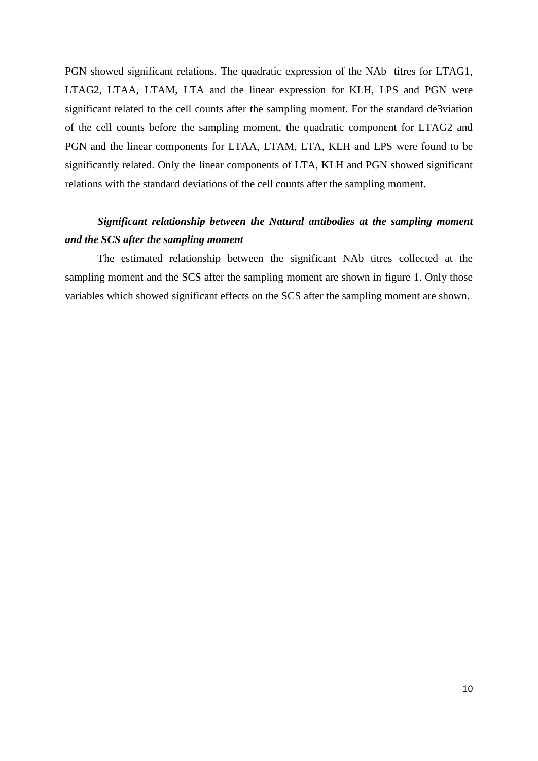PGN showed significant relations. The quadratic expression of the NAb titres for LTAG1, LTAG2, LTAA, LTAM, LTA and the linear expression for KLH, LPS and PGN were significant related to the cell counts after the sampling moment. For the standard de3viation of the cell counts before the sampling moment, the quadratic component for LTAG2 and PGN and the linear components for LTAA, LTAM, LTA, KLH and LPS were found to be significantly related. Only the linear components of LTA, KLH and PGN showed significant relations with the standard deviations of the cell counts after the sampling moment.

# *Significant relationship between the Natural antibodies at the sampling moment and the SCS after the sampling moment*

The estimated relationship between the significant NAb titres collected at the sampling moment and the SCS after the sampling moment are shown in figure 1. Only those variables which showed significant effects on the SCS after the sampling moment are shown.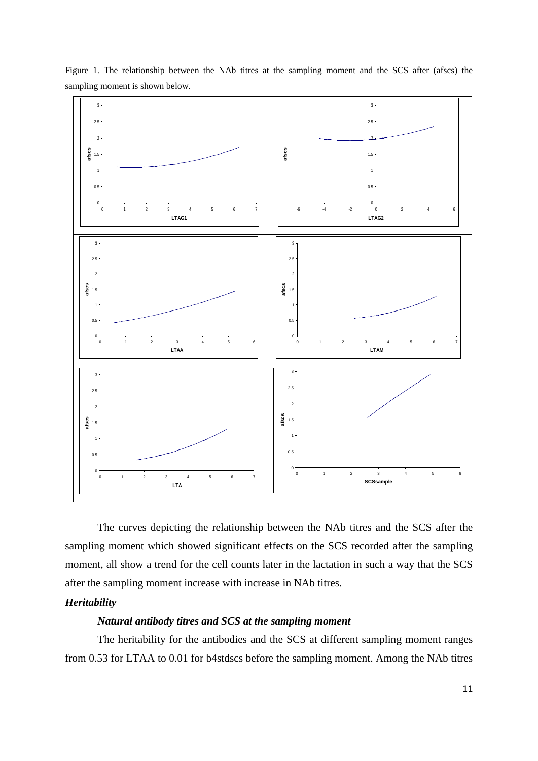

Figure 1. The relationship between the NAb titres at the sampling moment and the SCS after (afscs) the sampling moment is shown below.

The curves depicting the relationship between the NAb titres and the SCS after the sampling moment which showed significant effects on the SCS recorded after the sampling moment, all show a trend for the cell counts later in the lactation in such a way that the SCS after the sampling moment increase with increase in NAb titres.

# *Heritability*

# *Natural antibody titres and SCS at the sampling moment*

The heritability for the antibodies and the SCS at different sampling moment ranges from 0.53 for LTAA to 0.01 for b4stdscs before the sampling moment. Among the NAb titres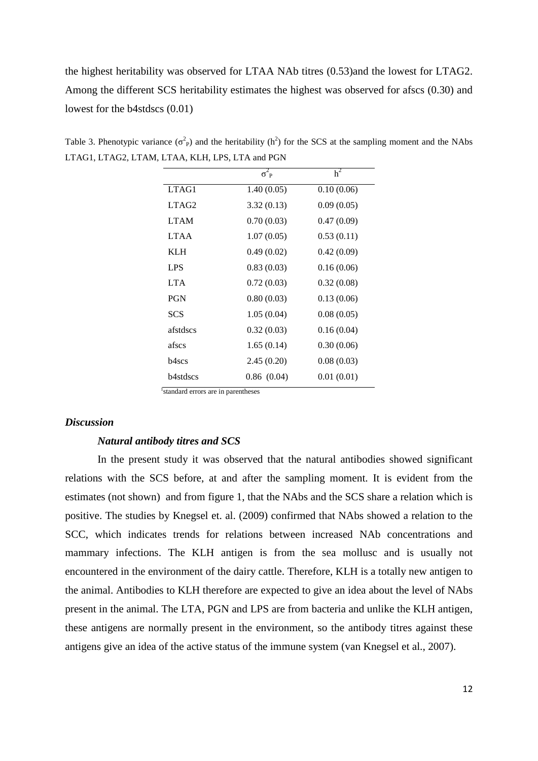the highest heritability was observed for LTAA NAb titres (0.53)and the lowest for LTAG2. Among the different SCS heritability estimates the highest was observed for afscs (0.30) and lowest for the b4stdscs (0.01)

| h <sup>2</sup> |
|----------------|
| 0.10(0.06)     |
| 0.09(0.05)     |
| 0.47(0.09)     |
| 0.53(0.11)     |
| 0.42(0.09)     |
| 0.16(0.06)     |
| 0.32(0.08)     |
| 0.13(0.06)     |
| 0.08(0.05)     |
| 0.16(0.04)     |
| 0.30(0.06)     |
| 0.08(0.03)     |
| 0.01(0.01)     |
|                |

Table 3. Phenotypic variance  $(\sigma^2$ <sub>P</sub>) and the heritability (h<sup>2</sup>) for the SCS at the sampling moment and the NAbs LTAG1, LTAG2, LTAM, LTAA, KLH, LPS, LTA and PGN

 <sup>1</sup> standard errors are in parentheses

# *Discussion*

# *Natural antibody titres and SCS*

In the present study it was observed that the natural antibodies showed significant relations with the SCS before, at and after the sampling moment. It is evident from the estimates (not shown) and from figure 1, that the NAbs and the SCS share a relation which is positive. The studies by Knegsel et. al. (2009) confirmed that NAbs showed a relation to the SCC, which indicates trends for relations between increased NAb concentrations and mammary infections. The KLH antigen is from the sea mollusc and is usually not encountered in the environment of the dairy cattle. Therefore, KLH is a totally new antigen to the animal. Antibodies to KLH therefore are expected to give an idea about the level of NAbs present in the animal. The LTA, PGN and LPS are from bacteria and unlike the KLH antigen, these antigens are normally present in the environment, so the antibody titres against these antigens give an idea of the active status of the immune system (van Knegsel et al., 2007).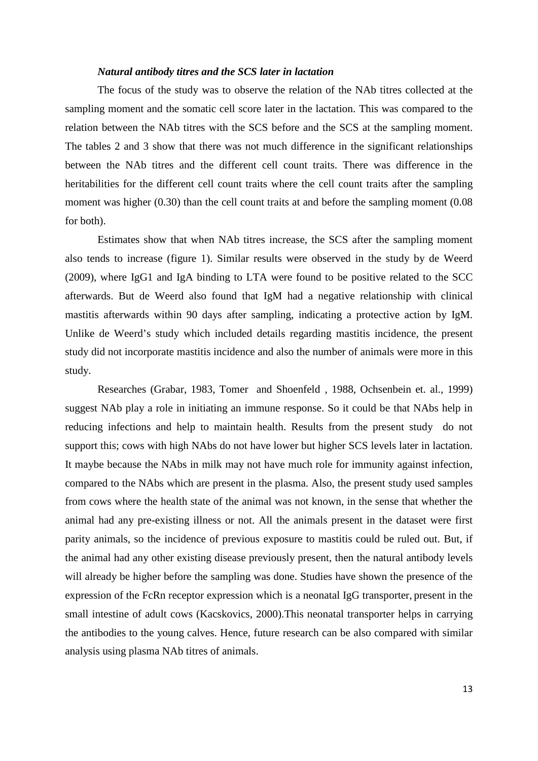# *Natural antibody titres and the SCS later in lactation*

The focus of the study was to observe the relation of the NAb titres collected at the sampling moment and the somatic cell score later in the lactation. This was compared to the relation between the NAb titres with the SCS before and the SCS at the sampling moment. The tables 2 and 3 show that there was not much difference in the significant relationships between the NAb titres and the different cell count traits. There was difference in the heritabilities for the different cell count traits where the cell count traits after the sampling moment was higher (0.30) than the cell count traits at and before the sampling moment (0.08) for both).

Estimates show that when NAb titres increase, the SCS after the sampling moment also tends to increase (figure 1). Similar results were observed in the study by de Weerd (2009), where IgG1 and IgA binding to LTA were found to be positive related to the SCC afterwards. But de Weerd also found that IgM had a negative relationship with clinical mastitis afterwards within 90 days after sampling, indicating a protective action by IgM. Unlike de Weerd's study which included details regarding mastitis incidence, the present study did not incorporate mastitis incidence and also the number of animals were more in this study.

Researches (Grabar, 1983, Tomer and Shoenfeld , 1988, Ochsenbein et. al., 1999) suggest NAb play a role in initiating an immune response. So it could be that NAbs help in reducing infections and help to maintain health. Results from the present study do not support this; cows with high NAbs do not have lower but higher SCS levels later in lactation. It maybe because the NAbs in milk may not have much role for immunity against infection, compared to the NAbs which are present in the plasma. Also, the present study used samples from cows where the health state of the animal was not known, in the sense that whether the animal had any pre-existing illness or not. All the animals present in the dataset were first parity animals, so the incidence of previous exposure to mastitis could be ruled out. But, if the animal had any other existing disease previously present, then the natural antibody levels will already be higher before the sampling was done. Studies have shown the presence of the expression of the FcRn receptor expression which is a neonatal IgG transporter, present in the small intestine of adult cows (Kacskovics, 2000).This neonatal transporter helps in carrying the antibodies to the young calves. Hence, future research can be also compared with similar analysis using plasma NAb titres of animals.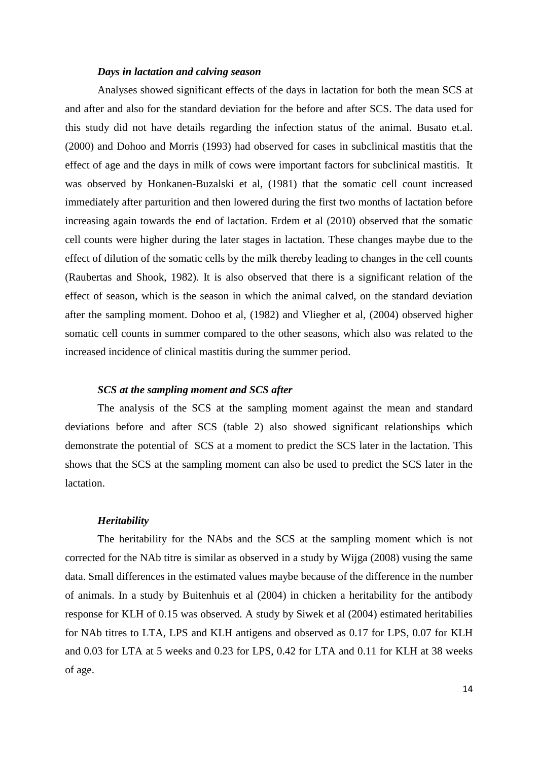# *Days in lactation and calving season*

Analyses showed significant effects of the days in lactation for both the mean SCS at and after and also for the standard deviation for the before and after SCS. The data used for this study did not have details regarding the infection status of the animal. Busato et.al. (2000) and [Dohoo](http://www.sciencedirect.com/science?_ob=ArticleURL&_udi=B6TBK-40086J2-7&_user=533256&_coverDate=04%2F28%2F2000&_rdoc=1&_fmt=high&_orig=search&_sort=d&_docanchor=&view=c&_searchStrId=1349969975&_rerunOrigin=scholar.google&_acct=C000026798&_version=1&_urlVersion=0&_userid=533256&md5=dc96bd998fe2ad3e522e4a83cc23c43d#bbib12) and Morris (1993) had observed for cases in subclinical mastitis that the effect of age and the days in milk of cows were important factors for subclinical mastitis. It was observed by Honkanen-Buzalski et al, (1981) that the somatic cell count increased immediately after parturition and then lowered during the first two months of lactation before increasing again towards the end of lactation. Erdem et al (2010) observed that the somatic cell counts were higher during the later stages in lactation. These changes maybe due to the effect of dilution of the somatic cells by the milk thereby leading to changes in the cell counts (Raubertas and Shook, 1982). It is also observed that there is a significant relation of the effect of season, which is the season in which the animal calved, on the standard deviation after the sampling moment. Dohoo et al, (1982) and Vliegher et al, (2004) observed higher somatic cell counts in summer compared to the other seasons, which also was related to the increased incidence of clinical mastitis during the summer period.

# *SCS at the sampling moment and SCS after*

The analysis of the SCS at the sampling moment against the mean and standard deviations before and after SCS (table 2) also showed significant relationships which demonstrate the potential of SCS at a moment to predict the SCS later in the lactation. This shows that the SCS at the sampling moment can also be used to predict the SCS later in the lactation.

## *Heritability*

The heritability for the NAbs and the SCS at the sampling moment which is not corrected for the NAb titre is similar as observed in a study by Wijga (2008) vusing the same data. Small differences in the estimated values maybe because of the difference in the number of animals. In a study by Buitenhuis et al (2004) in chicken a heritability for the antibody response for KLH of 0.15 was observed. A study by Siwek et al (2004) estimated heritabilies for NAb titres to LTA, LPS and KLH antigens and observed as 0.17 for LPS, 0.07 for KLH and 0.03 for LTA at 5 weeks and 0.23 for LPS, 0.42 for LTA and 0.11 for KLH at 38 weeks of age.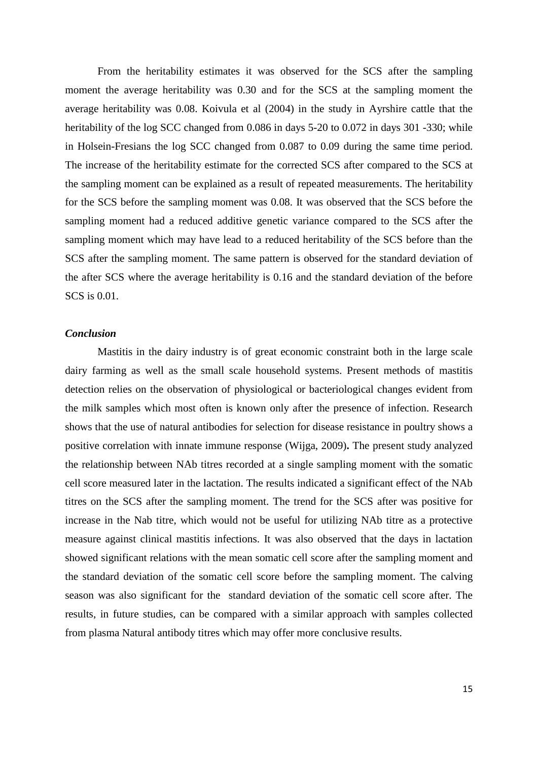From the heritability estimates it was observed for the SCS after the sampling moment the average heritability was 0.30 and for the SCS at the sampling moment the average heritability was 0.08. Koivula et al (2004) in the study in Ayrshire cattle that the heritability of the log SCC changed from 0.086 in days 5-20 to 0.072 in days 301 -330; while in Holsein-Fresians the log SCC changed from 0.087 to 0.09 during the same time period. The increase of the heritability estimate for the corrected SCS after compared to the SCS at the sampling moment can be explained as a result of repeated measurements. The heritability for the SCS before the sampling moment was 0.08. It was observed that the SCS before the sampling moment had a reduced additive genetic variance compared to the SCS after the sampling moment which may have lead to a reduced heritability of the SCS before than the SCS after the sampling moment. The same pattern is observed for the standard deviation of the after SCS where the average heritability is 0.16 and the standard deviation of the before SCS is 0.01.

# *Conclusion*

Mastitis in the dairy industry is of great economic constraint both in the large scale dairy farming as well as the small scale household systems. Present methods of mastitis detection relies on the observation of physiological or bacteriological changes evident from the milk samples which most often is known only after the presence of infection. Research shows that the use of natural antibodies for selection for disease resistance in poultry shows a positive correlation with innate immune response (Wijga, 2009)**.** The present study analyzed the relationship between NAb titres recorded at a single sampling moment with the somatic cell score measured later in the lactation. The results indicated a significant effect of the NAb titres on the SCS after the sampling moment. The trend for the SCS after was positive for increase in the Nab titre, which would not be useful for utilizing NAb titre as a protective measure against clinical mastitis infections. It was also observed that the days in lactation showed significant relations with the mean somatic cell score after the sampling moment and the standard deviation of the somatic cell score before the sampling moment. The calving season was also significant for the standard deviation of the somatic cell score after. The results, in future studies, can be compared with a similar approach with samples collected from plasma Natural antibody titres which may offer more conclusive results.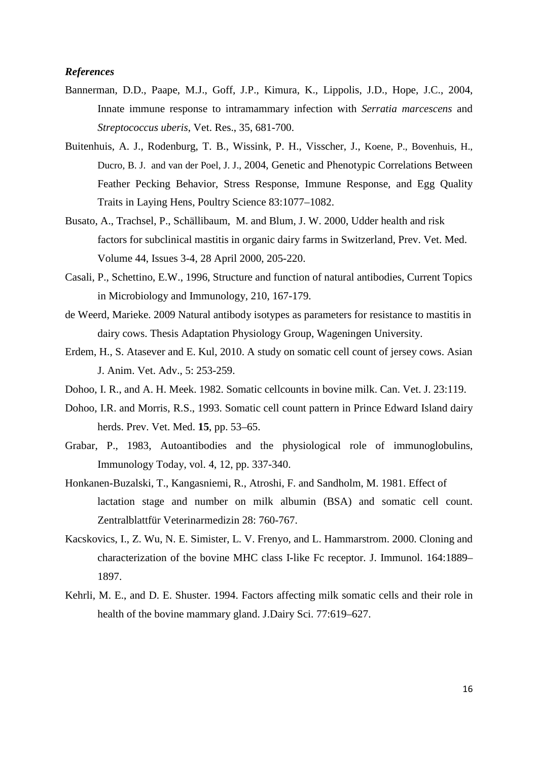# *References*

- Bannerman, D.D., Paape, M.J., Goff, J.P., Kimura, K., Lippolis, J.D., Hope, J.C., 2004, Innate immune response to intramammary infection with *Serratia marcescens* and *Streptococcus uberis*, Vet. Res., 35, 681-700.
- Buitenhuis, A. J., Rodenburg, T. B., Wissink, P. H., Visscher, J., Koene, P., Bovenhuis, H., Ducro, B. J. and van der Poel, J. J., 2004, Genetic and Phenotypic Correlations Between Feather Pecking Behavior, Stress Response, Immune Response, and Egg Quality Traits in Laying Hens, Poultry Science 83:1077–1082.
- Busato, A., Trachsel, P., Schällibaum, M. and Blum, J. W. 2000, Udder health and risk factors for subclinical mastitis in organic dairy farms in Switzerland, [Prev.](http://www.sciencedirect.com/science/journal/01675877) Vet. Med. [Volume 44, Issues 3-4,](http://www.sciencedirect.com/science?_ob=PublicationURL&_tockey=%23TOC%235145%232000%23999559996%23187901%23FLA%23&_cdi=5145&_pubType=J&view=c&_auth=y&_acct=C000026798&_version=1&_urlVersion=0&_userid=533256&md5=3d38fb11677ef49daa152b0d790c6ec7) 28 April 2000, 205-220.
- Casali, P., Schettino, E.W., 1996, Structure and function of natural antibodies, Current Topics in Microbiology and Immunology, 210, 167-179.
- de Weerd, Marieke. 2009 Natural antibody isotypes as parameters for resistance to mastitis in dairy cows. Thesis Adaptation Physiology Group, Wageningen University.
- Erdem, H., S. Atasever and E. Kul, 2010. A study on somatic cell count of jersey cows. Asian J. Anim. Vet. Adv., 5: 253-259.
- Dohoo, I. R., and A. H. Meek. 1982. Somatic cellcounts in bovine milk. Can. Vet. J. 23:119.
- [Dohoo,](http://www.sciencedirect.com/science?_ob=ArticleURL&_udi=B6TBK-40086J2-7&_user=533256&_coverDate=04%2F28%2F2000&_rdoc=1&_fmt=high&_orig=search&_sort=d&_docanchor=&view=c&_searchStrId=1349969975&_rerunOrigin=scholar.google&_acct=C000026798&_version=1&_urlVersion=0&_userid=533256&md5=dc96bd998fe2ad3e522e4a83cc23c43d#bbib12) I.R. and Morris, R.S., 1993. Somatic cell count pattern in Prince Edward Island dairy herds. Prev. Vet. Med. **15**, pp. 53–65.
- Grabar, P., 1983, Autoantibodies and the physiological role of immunoglobulins, [Immunology Today,](http://www.sciencedirect.com/science/journal/01675699) vol. 4, 12, pp. 337-340.
- Honkanen-Buzalski, T., Kangasniemi, R., Atroshi, F. and Sandholm, M. 1981. Effect of lactation stage and number on milk albumin (BSA) and somatic cell count. Zentralblattfür Veterinarmedizin 28: 760-767.
- Kacskovics, I., Z. Wu, N. E. Simister, L. V. Frenyo, and L. Hammarstrom. 2000. Cloning and characterization of the bovine MHC class I-like Fc receptor. J. Immunol. 164:1889– 1897.
- Kehrli, M. E., and D. E. Shuster. 1994. Factors affecting milk somatic cells and their role in health of the bovine mammary gland. J.Dairy Sci. 77:619–627.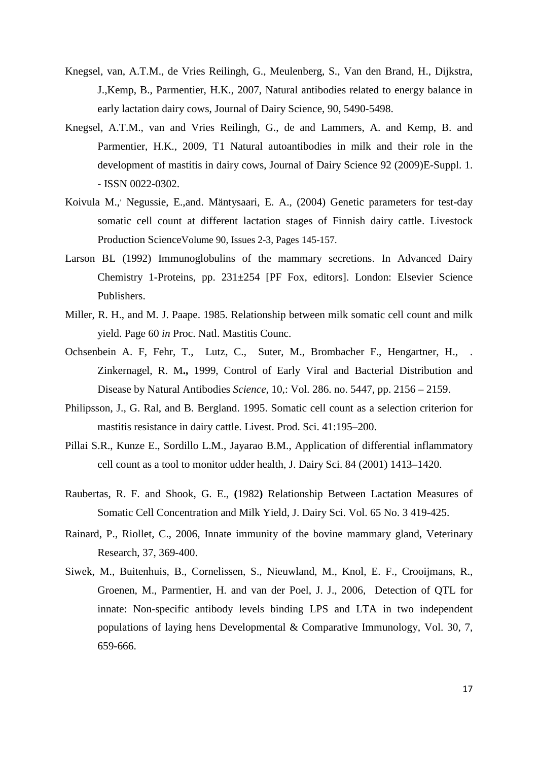- Knegsel, van, A.T.M., de Vries Reilingh, G., Meulenberg, S., Van den Brand, H., Dijkstra, J.,Kemp, B., Parmentier, H.K., 2007, Natural antibodies related to energy balance in early lactation dairy cows, Journal of Dairy Science, 90, 5490-5498.
- Knegsel, A.T.M., van and Vries Reilingh, G., de and Lammers, A. and Kemp, B. and Parmentier, H.K., 2009, T1 Natural autoantibodies in milk and their role in the development of mastitis in dairy cows, Journal of Dairy Science 92 (2009)E-Suppl. 1. - ISSN 0022-0302.
- Koivula M., Negussie, E.,and. Mäntysaari, E. A., (2004) Genetic parameters for test-day somatic cell count at different lactation stages of Finnish dairy cattle. [Livestock](http://www.sciencedirect.com/science/journal/03016226)  [Production ScienceVolume 90, Issues 2-3,](http://www.sciencedirect.com/science/journal/03016226) Pages 145-157.
- Larson BL (1992) Immunoglobulins of the mammary secretions. In Advanced Dairy Chemistry 1-Proteins, pp. 231±254 [PF Fox, editors]. London: Elsevier Science Publishers.
- Miller, R. H., and M. J. Paape. 1985. Relationship between milk somatic cell count and milk yield. Page 60 *in* Proc. Natl. Mastitis Counc.
- Ochsenbein A. F, Fehr, T., Lutz, C., Suter, M., Brombacher F., Hengartner, H., Zinkernagel, R. M**.,** 1999, Control of Early Viral and Bacterial Distribution and Disease by Natural Antibodies *Science,* 10,: Vol. 286. no. 5447, pp. 2156 – 2159.
- Philipsson, J., G. Ral, and B. Bergland. 1995. Somatic cell count as a selection criterion for mastitis resistance in dairy cattle. Livest. Prod. Sci. 41:195–200.
- Pillai S.R., Kunze E., Sordillo L.M., Jayarao B.M., Application of differential inflammatory cell count as a tool to monitor udder health, J. Dairy Sci. 84 (2001) 1413–1420.
- Raubertas, R. F. and Shook, G. E., **(**1982**)** Relationship Between Lactation Measures of Somatic Cell Concentration and Milk Yield, J. Dairy Sci. Vol. 65 No. 3 419-425.
- Rainard, P., Riollet, C., 2006, Innate immunity of the bovine mammary gland, Veterinary Research, 37, 369-400.
- Siwek, M., Buitenhuis, B., Cornelissen, S., Nieuwland, M., Knol, E. F., Crooijmans, R., Groenen, M., Parmentier, H. and van der Poel, J. J., 2006, Detection of QTL for innate: Non-specific antibody levels binding LPS and LTA in two independent populations of laying hens [Developmental & Comparative Immunology,](http://www.sciencedirect.com/science/journal/0145305X) Vol. 30, 7, 659-666.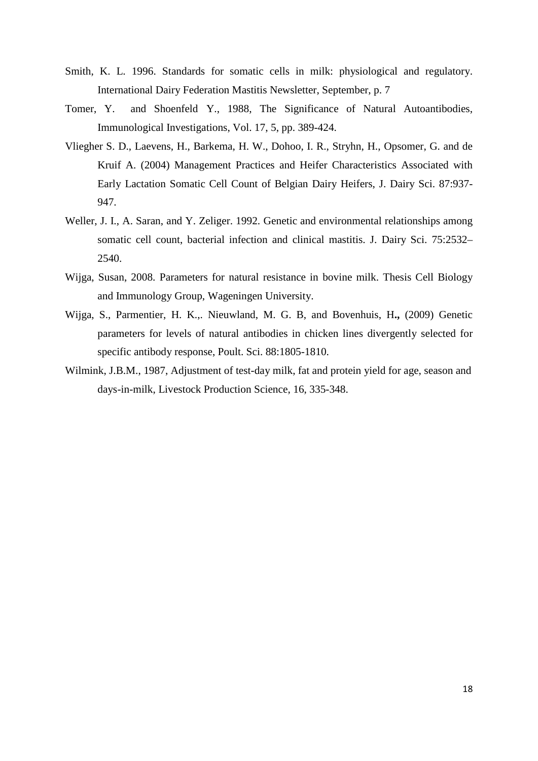- Smith, K. L. 1996. Standards for somatic cells in milk: physiological and regulatory. International Dairy Federation Mastitis Newsletter, September, p. 7
- Tomer, Y. and Shoenfeld Y., 1988, The Significance of Natural Autoantibodies, [Immunological Investigations,](http://informahealthcare.com/loi/imm) Vol. 17, 5, pp. 389-424.
- Vliegher S. D., Laevens, H., Barkema, H. W., Dohoo, I. R., Stryhn, H., Opsomer, G. and de Kruif A. (2004) Management Practices and Heifer Characteristics Associated with Early Lactation Somatic Cell Count of Belgian Dairy Heifers, J. Dairy Sci. 87:937- 947.
- Weller, J. I., A. Saran, and Y. Zeliger. 1992. Genetic and environmental relationships among somatic cell count, bacterial infection and clinical mastitis. J. Dairy Sci. 75:2532– 2540.
- Wijga, Susan, 2008. Parameters for natural resistance in bovine milk. Thesis Cell Biology and Immunology Group, Wageningen University.
- Wijga, S., Parmentier, H. K.,. Nieuwland, M. G. B, and Bovenhuis, H**.,** (2009) Genetic parameters for levels of natural antibodies in chicken lines divergently selected for specific antibody response, Poult. Sci. 88:1805-1810.
- Wilmink, J.B.M., 1987, Adjustment of test-day milk, fat and protein yield for age, season and days-in-milk, Livestock Production Science, 16, 335-348.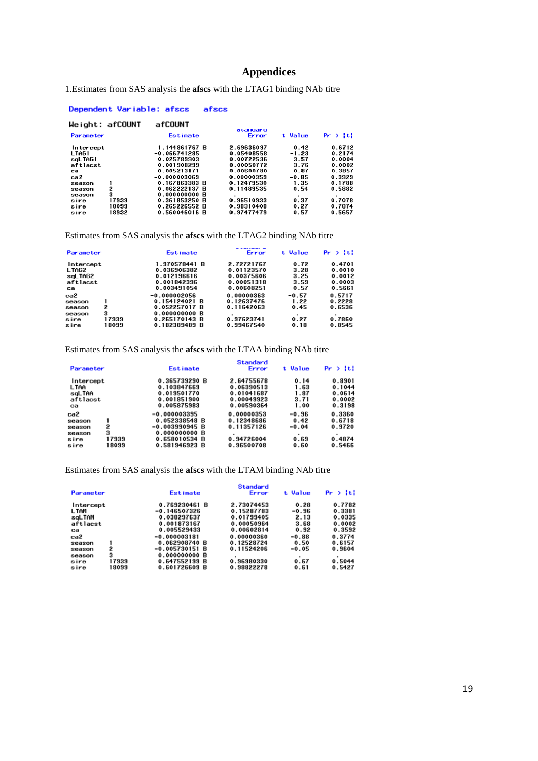# **Appendices**

1.Estimates from SAS analysis the **afscs** with the LTAG1 binding NAb titre

afscs

Dependent Variable: afscs

#### Weight: afCOUNT afCOUNT o tanuar u<br>Error Parameter t Value  $Pr \rightarrow |E|$ Estimate  $\begin{array}{r} 0.42 \\ -1.23 \\ 3.57 \\ 3.76 \\ 0.87 \\ -0.85 \\ 1.35 \\ 0.54 \end{array}$ Intercept<br>LTAG1<br>sqLTAG1<br>aftlacst<br>ca<br>ca2<br>season<br>season  $0.6712\n0.2174\n0.0004\n0.0002\n0.3857\n0.3929\n0.1788\n0.5882$ 1.144861767 B<br>-0.066741285<br>0.025789903<br>0.001908299<br>0.005213171 2.69636097<br>0.05408558<br>0.00722536<br>0.00050772<br>0.00600780 0.005213171<br>-0.000003069<br>0.167863383 B<br>0.062222137 B<br>0.000000000 B<br>0.361853250 B<br>0.265226552 B<br>0.560046016 B 0.00000359<br>0.00000359<br>0.12479530 1<br>2<br>3<br>17939<br>18099<br>18932 season<br>season<br>sire<br>sire 0.96510933<br>0.98310408<br>0.97477479  $0.37\n0.27\n0.57$ 0.7078<br>0.7874<br>0.5657

Estimates from SAS analysis the **afscs** with the LTAG2 binding NAb titre

| Parameter           |                | <b>Estimate</b>                | Error                    | t Value         | $Pr$ > $ t $     |
|---------------------|----------------|--------------------------------|--------------------------|-----------------|------------------|
| Intercept           |                | 1.970578441 B                  | 2.72721767               | 0.72            | 0.4701           |
| LTAG2               |                | 0.036906382<br>0.012196616     | 0.01123570<br>0.00375606 | 3.28<br>3.25    | 0.0010<br>0.0012 |
| sgLTAG2<br>aftlacst |                | 0.001842396                    | 0.00051318               | 3.59            | 0.0003           |
| ca<br>ca2           |                | 0.003491054<br>$-0.000002056$  | 0.00608251<br>0.00000363 | 0.57<br>$-0.57$ | 0.5661<br>0.5717 |
| season              |                | 0.154124021 B                  | 0.12637476               | 1.22            | 0.2228           |
| season              | 2              | 0.052257017 B                  | 0.11642063               | 0.45            | 0.6536           |
| season              | з              | 0.000000000 B                  |                          |                 |                  |
| sire<br>sire        | 17939<br>18099 | 0.265170143 B<br>0.182389489 B | 0.97623741<br>0.99467540 | 0.27<br>0.18    | 0.7860<br>0.8545 |

Estimates from SAS analysis the **afscs** with the LTAA binding NAb titre

| Parameter |       | <b>Estimate</b>  | Standard<br>Error | t Value   | Pr >  t |
|-----------|-------|------------------|-------------------|-----------|---------|
| Intercept |       | 0.365739290 B    | 2.64755678        | 0.14      | 0.8901  |
| LTAA      |       | 0.103847669      | 0.06390513        | 1.63      | 0.1044  |
| sqLTAA    |       | 0.019501770      | 0.01041687        | 1.87      | 0.0614  |
| aftlacst  |       | 0.001851900      | 0.00049923        | 3.71      | 0.0002  |
| ca        |       | 0.005875983      | 0.00590364        | 1.00      | 0.3198  |
| ca2       |       | $-0.000003395$   | 0.00000353        | $-0.96$   | 0.3360  |
| season    |       | 0.052338548 B    | 0.12348686        | 0.42      | 0.6718  |
| season    | 2     | $-0.003990945 B$ | 0.11357126        | $-0.04$   | 0.9720  |
| season    | з     | 0.000000000 B    |                   | $\bullet$ |         |
| sire      | 17939 | 0.658010534 B    | 0.94726004        | 0.69      | 0.4874  |
| sire      | 18099 | 0.581946923 B    | 0.96500708        | 0.60      | 0.5466  |
|           |       |                  |                   |           |         |

Estimates from SAS analysis the **afscs** with the LTAM binding NAb titre

| Paraneter                                            |                          | <b>Estimate</b>                                                                              | Standard<br>Error                                                                | t Value                                            | $Pr$ $>$ $ t $                                           |
|------------------------------------------------------|--------------------------|----------------------------------------------------------------------------------------------|----------------------------------------------------------------------------------|----------------------------------------------------|----------------------------------------------------------|
| Intercept<br>LTAM<br>saltAM<br>aftlacst<br>ca<br>ca2 |                          | 0.769230461 B<br>-0.146507326<br>0.038297637<br>0.001873167<br>0.005529433<br>$-0.000003181$ | 2.73074453<br>0.15287783<br>0.01799405<br>0.00050964<br>0.00602814<br>0.00000360 | 0.28<br>$-0.96$<br>2.13<br>3.68<br>0.92<br>$-0.88$ | 0.7782<br>0.3381<br>0.0335<br>0.0002<br>0.3592<br>0.3774 |
| season<br>season<br>season<br>sire<br>sire           | 2<br>3<br>17939<br>18099 | 0.062908740 B<br>$-0.005730151B$<br>0.000000000 B<br>0.647552199 B<br>0.601726609 B          | 0.12528724<br>0.11524206<br>0.96980330<br>0.98822278                             | 0.50<br>$-0.05$<br>0.67<br>0.61                    | 0.6157<br>0.9604<br>۰<br>0.5044<br>0.5427                |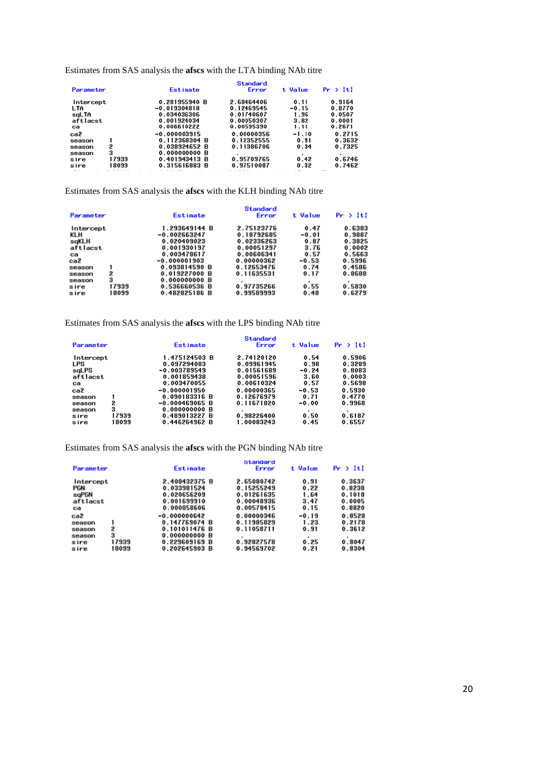Estimates from SAS analysis the **afscs** with the LTA binding NAb titre

| Parameter |       | Estimate       | <b>Standard</b><br>Error | t Value | $Pr$ > $ t $ |
|-----------|-------|----------------|--------------------------|---------|--------------|
| Intercept |       | 0.281955940 B  | 2.68464406               | 0.11    | 0.9164       |
| LTA       |       | $-0.019304818$ | 0.12469545               | $-0.15$ | 0.8770       |
| saLTA     |       | 0.034036306    | 0.01740607               | 1.96    | 0.0507       |
| aftlacst  |       | 0.001924034    | 0.00050307               | 3.82    | 0.0001       |
| сa        |       | 0.006610222    | 0.00595390               | 1.11    | 0.2671       |
| ca2       |       | $-0.000003915$ | 0.00000356               | $-1.10$ | 0.2715       |
| season    |       | 0.112368304 B  | 0.12352555               | 0.91    | 0.3632       |
| season    | 2     | 0.038924652 B  | 0.11386706               | 0.34    | 0.7325       |
| season    | 3     | 0.000000000 B  |                          |         |              |
| sire      | 17939 | 0.401943413 B  | 0.95709765               | 0.42    | 0.6746       |
| sire      | 18099 | 0.315616883 B  | 0.97510087               | 0.32    | 0.7462       |

Estimates from SAS analysis the **afscs** with the KLH binding NAb titre

| Parameter              |                     | <b>Estimate</b>                                 | <b>Standard</b><br>Error | t Value      | $Pr \rightarrow  t $ |
|------------------------|---------------------|-------------------------------------------------|--------------------------|--------------|----------------------|
| Intercept              |                     | 1.293649144 B                                   | 2.75123776               | 0.47         | 0.6383               |
| KLH                    |                     | -0.002663247                                    | 0.18792685               | $-0.01$      | 0.9887               |
| sqKLH                  |                     | 0.020409023                                     | 0.02336263               | 0.87         | 0.3825               |
| aftlacst               |                     | 0.001930197                                     | 0.00051297               | 3.76         | 0.0002               |
| ca                     |                     | 0.003478617                                     | 0.00606341               | 0.57         | 0.5663               |
| ca2                    |                     | $-0.000001903$                                  | 0.00000362               | $-0.53$      | 0.5996               |
| season                 | 1                   | 0.093814590 B                                   | 0.12653476               | 0.74         | 0.4586               |
| season                 | 2                   | 0.019227000 B                                   | 0.11635531               | 0.17         | 0.8688               |
| season<br>sire<br>sire | 3<br>17939<br>18099 | 0.000000000 B<br>0.536660536 B<br>0.482825186 B | 0.97735266<br>0.99589993 | 0.55<br>0.48 | 0.5830<br>0.6279     |

Estimates from SAS analysis the **afscs** with the LPS binding NAb titre

| Parameter                                                                        |                | <b>Estimate</b>                                                                                                                                     | Standard<br>Error                                                                                            | t Value                                                                            | Pr >  t                                                                      |
|----------------------------------------------------------------------------------|----------------|-----------------------------------------------------------------------------------------------------------------------------------------------------|--------------------------------------------------------------------------------------------------------------|------------------------------------------------------------------------------------|------------------------------------------------------------------------------|
| Intercept<br>LPS<br>sqLPS<br>aftlacst<br>ca<br>ca2<br>season<br>season<br>season | 2<br>3         | 1.475124503 B<br>0.097294083<br>$-0.003789549$<br>0.001859438<br>0.003470055<br>$-0.000001950$<br>0.090183316 B<br>$-0.000469065B$<br>0.000000000 B | 2.74120120<br>0.09961945<br>0.01561689<br>0.00051596<br>0.00610324<br>0.00000365<br>0.12676979<br>0.11671820 | 0.54<br>0.98<br>$-0.24$<br>3.60<br>0.57<br>$-0.53$<br>0.71<br>$-0.00$<br>$\bullet$ | 0.5906<br>0.3289<br>0.8083<br>0.0003<br>0.5698<br>0.5930<br>0.4770<br>0.9968 |
| sire<br>sire                                                                     | 17939<br>18099 | 0.489013227 B<br>0.446264962 B                                                                                                                      | 0.98226400<br>1.00083243                                                                                     | 0.50<br>0.45                                                                       | 0.6187<br>0.6557                                                             |

Estimates from SAS analysis the **afscs** with the PGN binding NAb titre

|       | <b>Estimate</b> | Standard<br>Error | t Value | $Pr \rightarrow  t $ |
|-------|-----------------|-------------------|---------|----------------------|
|       | 2.408432375 B   | 2.65080742        | 0.91    | 0.3637               |
|       | 0.033981524     | 0.15255249        | 0.22    | 0.8238               |
|       | 0.020656209     | 0.01261635        | 1.64    | 0.1018               |
|       | 0.001699910     | 0.00048936        | 3.47    | 0.0005               |
|       | 0.000858606     | 0.00578415        | 0.15    | 0.8820               |
|       | $-0.000000642$  | 0.00000346        | $-0.19$ | 0.8528               |
|       | 0.147769074 B   | 0.11985829        | 1.23    | 0.2178               |
| 2     | 0.101011476 B   | 0.11058711        | 0.91    | 0.3612               |
| з     | 0.000000000 B   |                   |         |                      |
| 17939 | 0.229609169 B   | 0.92827578        | 0.25    | 0.8047               |
| 18099 | 0.202645903 B   | 0.94569702        | 0.21    | 0.8304               |
|       |                 |                   |         |                      |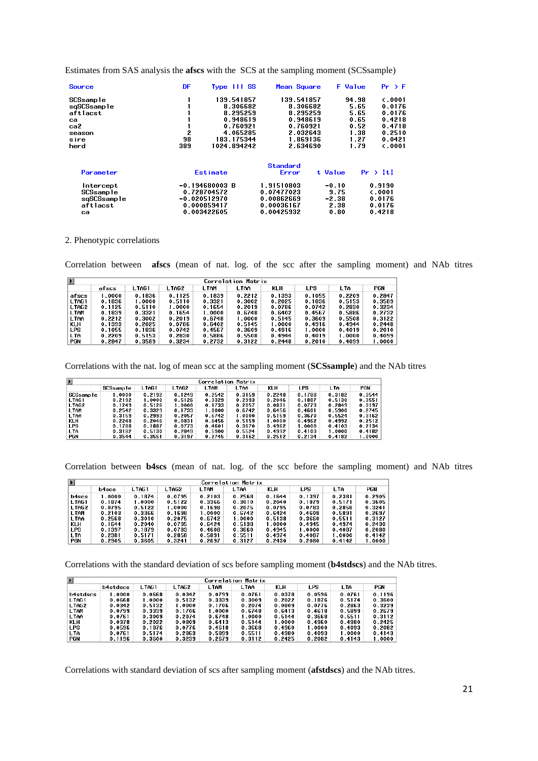Estimates from SAS analysis the **afscs** with the SCS at the sampling moment (SCSsample)

| <b>Source</b> | DF  | Type III SS      | Mean Square |         | <b>F</b> Value<br>$Pr$ > $F$ |  |
|---------------|-----|------------------|-------------|---------|------------------------------|--|
| SCSsample     |     | 139.541857       | 139.541857  |         | $\zeta$ .0001<br>94.98       |  |
| sqSCSsample   |     | 8.306682         | 8.306682    |         | 5.65<br>0.0176               |  |
| aftlacst      |     | 8.295259         | 8.295259    |         | 5.65<br>0.0176               |  |
| ca            |     | 0.948619         | 0.948619    |         | 0.65<br>0.4218               |  |
| ca2           |     | 0.760921         | 0.760921    |         | 0.4718<br>0.52               |  |
| season        | 2   | 4.065285         | 2.032643    |         | 1.38<br>0.2510               |  |
| sire          | 98  | 183.175344       | 1.869136    |         | 1.27<br>0.0421               |  |
| herd          | 389 | 1024.894242      | 2.634690    |         | 1.79<br>$\zeta$ .0001        |  |
|               |     |                  | Standard    |         |                              |  |
| Parameter     |     | Estimate         | Error       | t Value | $Pr \rightarrow  t $         |  |
| Intercept     |     | $-0.194680003 B$ | 1.91510803  | $-0.10$ | 0.9190                       |  |
| SCSsample     |     | 0.728704572      | 0.07477023  | 9.75    | $\zeta$ .0001                |  |
| sqSCSsample   |     | $-0.020512970$   | 0.00862669  | $-2.38$ | 0.0176                       |  |
| aftlacst      |     | 0.000859417      | 0.00036167  | 2.38    | 0.0176                       |  |
| са            |     | 0.003422605      | 0.00425932  | 0.80    | 0.4218                       |  |

#### 2. Phenotypic correlations

Correlation between **afscs** (mean of nat. log. of the scc after the sampling moment) and NAb titres

|            | Correlation Matrix |         |        |             |        |        |        |        |        |  |  |  |  |
|------------|--------------------|---------|--------|-------------|--------|--------|--------|--------|--------|--|--|--|--|
|            | afscs              | L TAG 1 | L TAG2 | <b>LTAM</b> | L TAA  | KLH    | LPS.   | I TA   | PGN    |  |  |  |  |
| afscs      | .0000              | 0.1836  | 0.1125 | 0.1839      | 0.2212 | 0.1393 | 0.1055 | 0.2209 | 0.2847 |  |  |  |  |
| LTAG1      | 0.1836             | 1.0000  | 0.5110 | 0.3321      | 0.3002 | 0.2025 | 0.1836 | 0.5153 | 0.3589 |  |  |  |  |
| LTAG2      | 0.1125             | 0.5110  | 1.0000 | 0.1654      | 0.2019 | 0.0786 | 0.0742 | 0.2830 | 0.3234 |  |  |  |  |
| LTAM       | 0.1839             | 0.3321  | 0.1654 | 1.0000      | 0.6748 | 0.6402 | 0.4567 | 0.5886 | 0.2732 |  |  |  |  |
| LTAA       | 0.2212             | 0.3002  | 0.2019 | 0.6748      | 1.0000 | 0.5145 | 0.3609 | 0.5508 | 0.3122 |  |  |  |  |
| <b>KLH</b> | 0.1393             | 0.2025  | 0.0786 | 0.6402      | 0.5145 | 1.0000 | 0.4916 | 0.4944 | 0.2448 |  |  |  |  |
| LPS        | 0.1055             | 0.1836  | 0.0742 | 0.4567      | 0.3609 | 0.4916 | 1.0000 | 0.4019 | 0.2010 |  |  |  |  |
| LTA        | 0.2209             | 0.5153  | 0.2830 | 0.5886      | 0.5508 | 0.4944 | 0.4019 | 1.0000 | 0.4099 |  |  |  |  |
| <b>PGN</b> | 0.2847             | 0.3589  | 0.3234 | 0.2732      | 0.3122 | 0.2448 | 0.2010 | 0.4099 | 1.0000 |  |  |  |  |

Correlations with the nat. log of mean scc at the sampling moment (**SCSsample**) and the NAb titres

| Correlation Matrix |           |        |        |        |        |        |        |        |        |  |  |
|--------------------|-----------|--------|--------|--------|--------|--------|--------|--------|--------|--|--|
|                    | SCSsample | LTAG1  | LTAG2  | L TAM  | L TAA  | KLH    | _PS    | LTA    | PGN    |  |  |
| SCSsample          | 0000.1    | 0.2192 | 0.1249 | 0.2542 | 0.3159 | 0.2248 | 0.1788 | 0.3182 | 0.3544 |  |  |
| LTAG1              | 0.2192    | 1.0000 | 0.5126 | 0.3329 | 0.2993 | 0.2046 | 0.1887 | 0.5130 | 0.3551 |  |  |
| LTAG2              | 0.1249    | 0.5126 | l.0000 | 0.1733 | 0.2057 | 0.0831 | 0.0773 | 0.2849 | 0.3197 |  |  |
| <b>LTAM</b>        | 0.2542    | 0.3329 | 0.1733 | .0000  | 0.6742 | 0.6456 | 0.4601 | 0.5900 | 0.2745 |  |  |
| LTAA               | 0.3159    | 0.2993 | 0.2057 | 0.6742 | 1.0000 | 0.5159 | 0.3670 | 0.5524 | 0.3162 |  |  |
| <b>KLH</b>         | 0.2248    | 0.2046 | 0.0831 | 0.6456 | 0.5159 | 1.0000 | 0.4962 | 0.4992 | 0.2512 |  |  |
| <b>LPS</b>         | 0.1788    | 0.1887 | 0.0773 | 0.4601 | 0.3670 | 0.4962 | .0000  | 0.4103 | 0.2134 |  |  |
| LTA                | 0.3182    | 0.5130 | 0.2849 | 0.5900 | 0.5524 | 0.4992 | 0.4103 | 1.0000 | 0.4182 |  |  |
| <b>PGN</b>         | 0.3544    | 0.3551 | 0.3197 | 0.2745 | 0.3162 | 0.2512 | 0.2134 | 0.4182 | .0000  |  |  |

Correlation between **b4scs** (mean of nat. log. of the scc before the sampling moment) and NAb titres

| $\blacktriangleright$ | Correlation Matrix |        |        |        |        |        |        |        |        |  |  |  |  |
|-----------------------|--------------------|--------|--------|--------|--------|--------|--------|--------|--------|--|--|--|--|
|                       | b4scs              | l TAG1 | I TAG2 | I TAM  | I TAA  | KLH    | I PS   | LTA.   | PGN    |  |  |  |  |
| b4scs                 | 1.0000             | 0.1874 | 0.0795 | 0.2103 | 0.2568 | 0.1644 | 0.1397 | 0.2381 | 0.2905 |  |  |  |  |
| LTAG1                 | 0.1874             | 1.0000 | 0.5122 | 0.3366 | 0.3010 | 0.2040 | 0.1879 | 0.5171 | 0.3605 |  |  |  |  |
| LTAG2                 | 0.0795             | 0.5122 | 1.0000 | 0.1698 | 0.2075 | 0.0795 | 0.0783 | 0.2858 | 0.3241 |  |  |  |  |
| LTAM                  | 0.2103             | 0.3366 | 0.1698 | 1.0000 | 0.6742 | 0.6424 | 0.4608 | 0.5891 | 0.2697 |  |  |  |  |
| LTAA                  | 0.2568             | 0.3010 | 0.2075 | 0.6742 | 1.0000 | 0.5138 | 0.3660 | 0.5511 | 0.3127 |  |  |  |  |
| <b>KLH</b>            | 0.1644             | 0.2040 | 0.0795 | 0.6424 | 0.5138 | 1.0000 | 0.4945 | 0.4974 | 0.2430 |  |  |  |  |
| LPS                   | 0.1397             | 0.1879 | 0.0783 | 0.4608 | 0.3660 | 0.4945 | .0000  | 0.4087 | 0.2080 |  |  |  |  |
| LTA                   | 0.2381             | 0.5171 | 0.2858 | 0.5891 | 0.5511 | 0.4974 | 0.4087 | 1.0000 | 0.4142 |  |  |  |  |
| <b>PGN</b>            | 0.2905             | 0.3605 | 0.3241 | 0.2697 | 0.3127 | 0.2430 | 0.2080 | 0.4142 | 1.0000 |  |  |  |  |

Correlations with the standard deviation of scs before sampling moment (**b4stdscs**) and the NAb titres.

| Correlation Matrix |          |         |        |             |        |        |        |                                                     |        |  |
|--------------------|----------|---------|--------|-------------|--------|--------|--------|-----------------------------------------------------|--------|--|
|                    | b4stdscs | L TAG 1 | LTAG2  | <b>LTAM</b> | LTAA   | KLH    | I PS   | ∟TA                                                 | PGN    |  |
| b4stdscs           | .0000    | 8330.0  | 0.0342 | 0.0799      | 0.0761 | 0.0378 | 0.0596 | 0.0761                                              | 0.1196 |  |
| LTAG1              | 0.0668   | 1.0000  | 0.5132 | 0.3339      | 0.3009 | 0.2022 | 0.1876 | 0.5174                                              | 0.3600 |  |
| LTAG2              | 0.0342   | 0.5132  | 1.0000 | 0.1706      | 0.2074 | 0.0809 | 0.0776 | 0.2863                                              | 0.3239 |  |
| <b>LTAM</b>        | 0.0799   | 0.3339  | 0.1706 | 1.0000      | 0.6748 | 0.6413 | 0.4618 | 0.5899                                              | 0.2679 |  |
| LTAA               | 0.0761   | 0.3009  | 0.2074 | 0.6748      | 1.0000 | 0.5144 | 0.3668 | 0.5511                                              | 0.3112 |  |
| KLH                | 0.0378   | 0.2022  | 0.0809 | 0.6413      | 0.5144 | 1.0000 | 0.4960 | 0.4980                                              | 0.2425 |  |
| <b>LPS</b>         | 0.0596   | 0.1876  | 0.0776 | 0.4618      | 0.3668 | 0.4960 | 1.0000 | 0.4093                                              | 0.2082 |  |
| <b>LTA</b>         | 0.0761   | 0.5174  | 0.2863 | 0.5899      | 0.5511 | 0.4980 | 0.4093 | $\overline{\phantom{0}}$ . $\overline{\phantom{0}}$ | 0.4143 |  |
| PGN                | 0.1196   | 0.3600  | 0.3239 | 0.2679      | 0.3112 | 0.2425 | 0.2082 | 0.4143                                              | 1.0000 |  |

Correlations with standard deviation of scs after sampling moment (**afstdscs**) and the NAb titres.